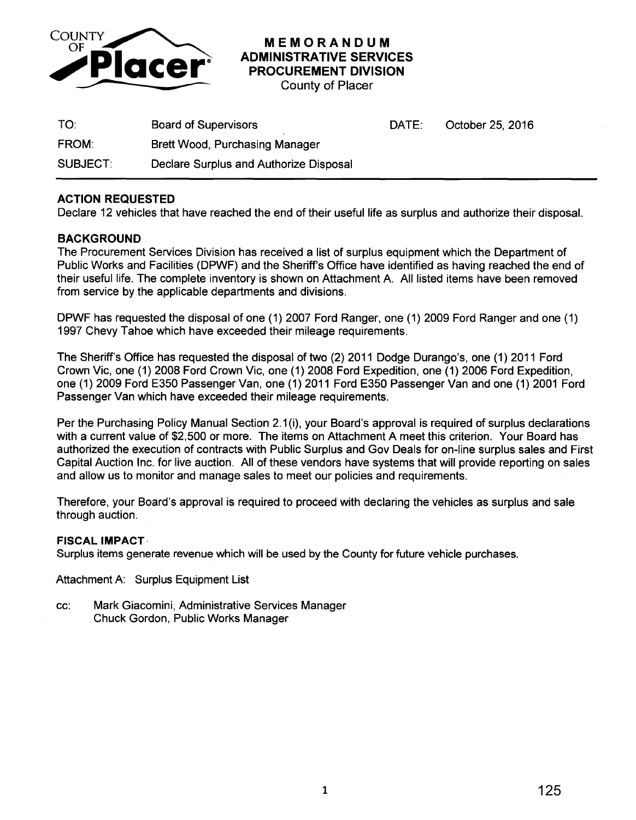

**MEMORANDUM ADMINISTRATIVE SERVICES PROCUREMENT DIVISION** 

County of Placer

| TO:      | <b>Board of Supervisors</b>            | DATE: | October 25, 2016 |
|----------|----------------------------------------|-------|------------------|
| FROM:    | <b>Brett Wood, Purchasing Manager</b>  |       |                  |
| SUBJECT: | Declare Surplus and Authorize Disposal |       |                  |

## **ACTION REQUESTED**

Declare 12 vehicles that have reached the end of their useful life as surplus and authorize their disposal.

## **BACKGROUND**

The Procurement Services Division has received a list of surplus equipment which the Department of Public Works and Facilities (DPWF) and the Sheriff's Office have identified as having reached the end of their useful life. The complete inventory is shown on Attachment A. All listed items have been removed from service by the applicable departments and divisions.

DPWF has requested the disposal of one (1) 2007 Ford Ranger, one (1) 2009 Ford Ranger and one (1) 1997 Chevy Tahoe which have exceeded their mileage requirements.

The Sheriff's Office has requested the disposal of two (2) 2011 Dodge Durango's, one (1) 2011 Ford Crown Vic, one (1) 2008 Ford Crown Vic, one (1) 2008 Ford Expedition, one (1) 2006 Ford Expedition, one (1) 2009 Ford E350 Passenger Van, one (1) 2011 Ford E350 Passenger Van and one (1) 2001 Ford Passenger Van which have exceeded their mileage requirements.

Per the Purchasing Policy Manual Section 2.1 (i), your Board's approval is required of surplus declarations with a current value of \$2,500 or more. The items on Attachment A meet this criterion. Your Board has authorized the execution of contracts with Public Surplus and Gov Deals for on-line surplus sales and First Capital Auction Inc. for live auction. All of these vendors have systems that will provide reporting on sales and allow us to monitor and manage sales to meet our policies and requirements.

Therefore, your Board's approval is required to proceed with declaring the vehicles as surplus and sale through auction.

### **FISCAL IMPACT·**

Surplus items generate revenue which will be used by the County for future vehicle purchases.

Attachment A: Surplus Equipment List

cc: Mark Giacomini, Administrative Services Manager Chuck Gordon, Public Works Manager